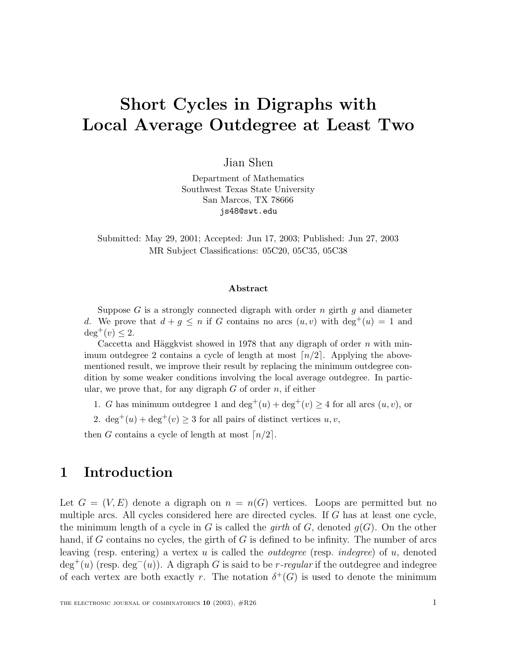# **Short Cycles in Digraphs with Local Average Outdegree at Least Two**

Jian Shen

Department of Mathematics Southwest Texas State University San Marcos, TX 78666 js48@swt.edu

Submitted: May 29, 2001; Accepted: Jun 17, 2003; Published: Jun 27, 2003 MR Subject Classifications: 05C20, 05C35, 05C38

#### **Abstract**

Suppose G is a strongly connected digraph with order n girth  $q$  and diameter d. We prove that  $d + g \leq n$  if G contains no arcs  $(u, v)$  with  $\deg^+(u) = 1$  and  $\deg^+(v) \leq 2$ .

Caccetta and Häggkvist showed in 1978 that any digraph of order  $n$  with minimum outdegree 2 contains a cycle of length at most  $\lceil n/2 \rceil$ . Applying the abovementioned result, we improve their result by replacing the minimum outdegree condition by some weaker conditions involving the local average outdegree. In particular, we prove that, for any digraph  $G$  of order  $n$ , if either

- 1. G has minimum outdegree 1 and  $\deg^+(u) + \deg^+(v) \geq 4$  for all arcs  $(u, v)$ , or
- 2.  $\deg^+(u) + \deg^+(v) \geq 3$  for all pairs of distinct vertices  $u, v$ ,

then G contains a cycle of length at most  $\lceil n/2 \rceil$ .

## **1 Introduction**

Let  $G = (V, E)$  denote a digraph on  $n = n(G)$  vertices. Loops are permitted but no multiple arcs. All cycles considered here are directed cycles. If G has at least one cycle, the minimum length of a cycle in G is called the *girth* of G, denoted  $q(G)$ . On the other hand, if G contains no cycles, the girth of  $G$  is defined to be infinity. The number of arcs leaving (resp. entering) a vertex u is called the *outdegree* (resp. *indegree*) of u, denoted  $\deg^+(u)$  (resp.  $\deg^-(u)$ ). A digraph G is said to be r-regular if the outdegree and indegree of each vertex are both exactly r. The notation  $\delta^+(G)$  is used to denote the minimum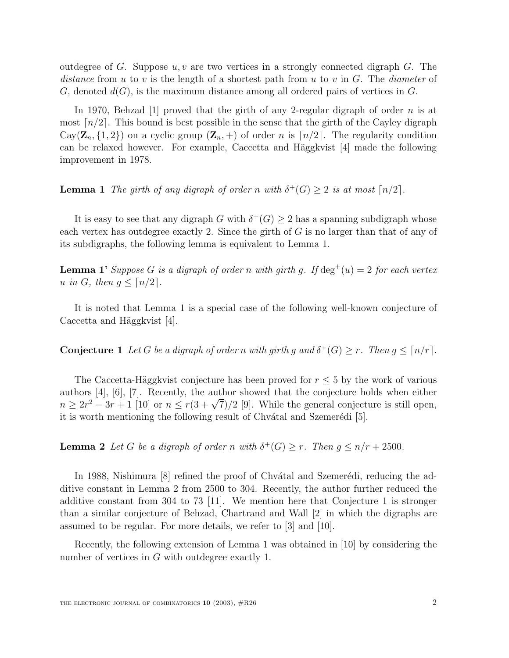outdegree of G. Suppose  $u, v$  are two vertices in a strongly connected digraph G. The distance from u to v is the length of a shortest path from u to v in  $G$ . The diameter of G, denoted  $d(G)$ , is the maximum distance among all ordered pairs of vertices in G.

In 1970, Behzad [1] proved that the girth of any 2-regular digraph of order n is at most  $\lceil n/2 \rceil$ . This bound is best possible in the sense that the girth of the Cayley digraph  $Cay(\mathbf{Z}_n, \{1,2\})$  on a cyclic group  $(\mathbf{Z}_n, +)$  of order n is  $\lceil n/2 \rceil$ . The regularity condition can be relaxed however. For example, Caccetta and Häggkvist  $[4]$  made the following improvement in 1978.

**Lemma 1** The girth of any digraph of order n with  $\delta^+(G) \geq 2$  is at most  $\lceil n/2 \rceil$ .

It is easy to see that any digraph G with  $\delta^+(G) \geq 2$  has a spanning subdigraph whose each vertex has outdegree exactly 2. Since the girth of G is no larger than that of any of its subdigraphs, the following lemma is equivalent to Lemma 1.

**Lemma 1'** Suppose G is a digraph of order n with girth g. If  $\deg^+(u)=2$  for each vertex u in G, then  $g \leq \lceil n/2 \rceil$ .

It is noted that Lemma 1 is a special case of the following well-known conjecture of Caccetta and Häggkvist [4].

**Conjecture 1** Let G be a digraph of order n with girth g and  $\delta^+(G) \geq r$ . Then  $g \leq \lceil n/r \rceil$ .

The Caccetta-Häggkvist conjecture has been proved for  $r \leq 5$  by the work of various authors [4], [6], [7]. Recently, the author showed that the conjecture holds when either  $n \geq 2r^2 - 3r + 1$  [10] or  $n \leq r(3 + \sqrt{7})/2$  [9]. While the general conjecture is still open, it is worth mentioning the following result of Chvátal and Szemerédi [5].

**Lemma 2** Let G be a digraph of order n with  $\delta^+(G) \geq r$ . Then  $g \leq n/r + 2500$ .

In 1988, Nishimura [8] refined the proof of Chvátal and Szemerédi, reducing the additive constant in Lemma 2 from 2500 to 304. Recently, the author further reduced the additive constant from 304 to 73 [11]. We mention here that Conjecture 1 is stronger than a similar conjecture of Behzad, Chartrand and Wall [2] in which the digraphs are assumed to be regular. For more details, we refer to [3] and [10].

Recently, the following extension of Lemma 1 was obtained in [10] by considering the number of vertices in G with outdegree exactly 1.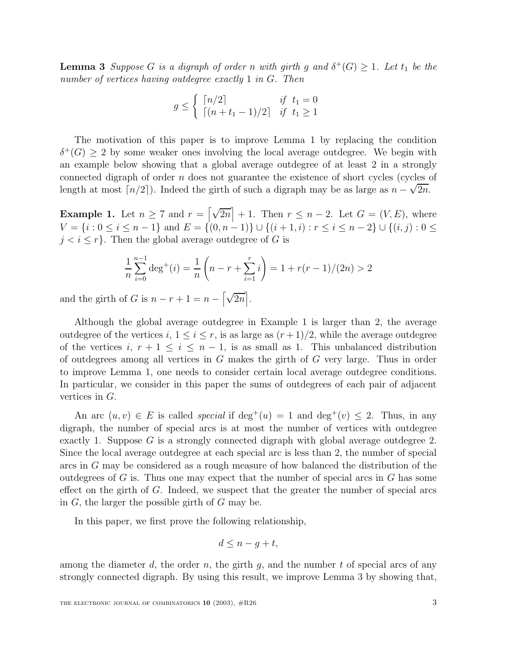**Lemma 3** Suppose G is a digraph of order n with girth g and  $\delta^+(G) \geq 1$ . Let  $t_1$  be the number of vertices having outdegree exactly 1 in G. Then

$$
g \le \begin{cases} \lceil n/2 \rceil & \text{if } t_1 = 0\\ \lceil (n+t_1-1)/2 \rceil & \text{if } t_1 \ge 1 \end{cases}
$$

The motivation of this paper is to improve Lemma 1 by replacing the condition  $\delta^+(G) > 2$  by some weaker ones involving the local average outdegree. We begin with an example below showing that a global average outdegree of at least 2 in a strongly connected digraph of order  $n$  does not guarantee the existence of short cycles (cycles of length at most  $\lceil n/2 \rceil$ ). Indeed the girth of such a digraph may be as large as  $n - \sqrt{2n}$ .

**Example 1.** Let  $n \geq 7$  and  $r = \lfloor \sqrt{2n} \rfloor + 1$ . Then  $r \leq n - 2$ . Let  $G = (V, E)$ , where  $V = \{i : 0 \le i \le n-1\}$  and  $E = \{(0, n-1)\} \cup \{(i+1, i) : r \le i \le n-2\} \cup \{(i, j) : 0 \le i \le n-1\}$  $j < i \leq r$ . Then the global average outdegree of G is

$$
\frac{1}{n}\sum_{i=0}^{n-1} \deg^+(i) = \frac{1}{n}\left(n-r+\sum_{i=1}^r i\right) = 1 + r(r-1)/(2n) > 2
$$

and the girth of G is  $n - r + 1 = n - \left[\sqrt{2n}\right]$ .

Although the global average outdegree in Example 1 is larger than 2, the average outdegree of the vertices i,  $1 \le i \le r$ , is as large as  $(r+1)/2$ , while the average outdegree of the vertices i,  $r + 1 \le i \le n - 1$ , is as small as 1. This unbalanced distribution of outdegrees among all vertices in G makes the girth of G very large. Thus in order to improve Lemma 1, one needs to consider certain local average outdegree conditions. In particular, we consider in this paper the sums of outdegrees of each pair of adjacent vertices in G.

An arc  $(u, v) \in E$  is called *special* if deg<sup>+</sup> $(u) = 1$  and deg<sup>+</sup> $(v) \le 2$ . Thus, in any digraph, the number of special arcs is at most the number of vertices with outdegree exactly 1. Suppose  $G$  is a strongly connected digraph with global average outdegree 2. Since the local average outdegree at each special arc is less than 2, the number of special arcs in G may be considered as a rough measure of how balanced the distribution of the outdegrees of  $G$  is. Thus one may expect that the number of special arcs in  $G$  has some effect on the girth of  $G$ . Indeed, we suspect that the greater the number of special arcs in  $G$ , the larger the possible girth of  $G$  may be.

In this paper, we first prove the following relationship,

$$
d \leq n - g + t,
$$

among the diameter d, the order n, the girth q, and the number t of special arcs of any strongly connected digraph. By using this result, we improve Lemma 3 by showing that,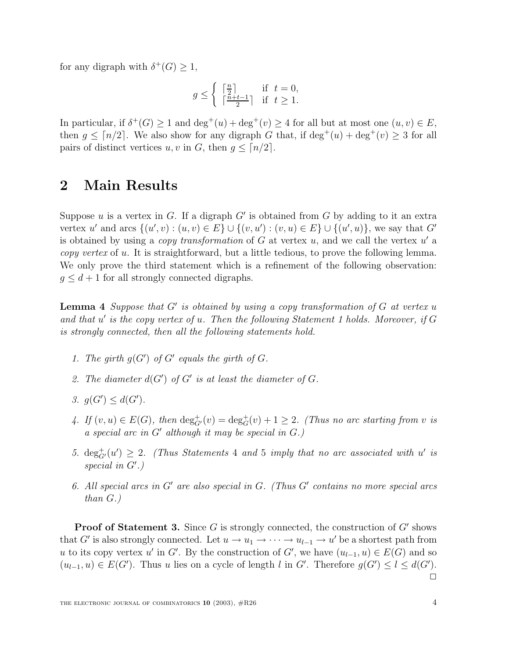for any digraph with  $\delta^+(G) \geq 1$ ,

$$
g \le \begin{cases} \lceil \frac{n}{2} \rceil & \text{if } t = 0, \\ \lceil \frac{n+t-1}{2} \rceil & \text{if } t \ge 1. \end{cases}
$$

In particular, if  $\delta^+(G) \geq 1$  and  $\deg^+(u) + \deg^+(v) \geq 4$  for all but at most one  $(u, v) \in E$ , then  $g \leq \lceil n/2 \rceil$ . We also show for any digraph G that, if  $\deg^+(u) + \deg^+(v) \geq 3$  for all pairs of distinct vertices u, v in G, then  $q \leq \lceil n/2 \rceil$ .

# **2 Main Results**

Suppose u is a vertex in G. If a digraph  $G'$  is obtained from G by adding to it an extra vertex u' and arcs  $\{(u', v) : (u, v) \in E\} \cup \{(v, u') : (v, u) \in E\} \cup \{(u', u)\}\)$ , we say that G' is obtained by using a *copy transformation* of G at vertex  $u$ , and we call the vertex  $u'$  a copy vertex of u. It is straightforward, but a little tedious, to prove the following lemma. We only prove the third statement which is a refinement of the following observation:  $g \leq d+1$  for all strongly connected digraphs.

**Lemma 4** Suppose that  $G'$  is obtained by using a copy transformation of  $G$  at vertex u and that  $u'$  is the copy vertex of u. Then the following Statement 1 holds. Moreover, if G is strongly connected, then all the following statements hold.

- 1. The girth  $g(G')$  of  $G'$  equals the girth of  $G$ .
- 2. The diameter  $d(G')$  of  $G'$  is at least the diameter of  $G$ .
- 3.  $g(G') \leq d(G')$ .
- 4. If  $(v, u) \in E(G)$ , then  $\deg_{G'}^+(v) = \deg_G^+(v) + 1 \geq 2$ . (Thus no arc starting from v is a special arc in  $G'$  although it may be special in  $G$ .)
- 5.  $\deg_{G'}^+(u') \geq 2$ . (Thus Statements 4 and 5 imply that no arc associated with u' is special in  $G'$ .)
- 6. All special arcs in  $G'$  are also special in  $G$ . (Thus  $G'$  contains no more special arcs than G.)

**Proof of Statement 3.** Since G is strongly connected, the construction of  $G'$  shows that G' is also strongly connected. Let  $u \to u_1 \to \cdots \to u_{l-1} \to u'$  be a shortest path from u to its copy vertex u' in G'. By the construction of G', we have  $(u_{l-1}, u) \in E(G)$  and so  $(u_{l-1}, u) \in E(G')$ . Thus u lies on a cycle of length l in G'. Therefore  $g(G') \le l \le d(G')$ .  $\Box$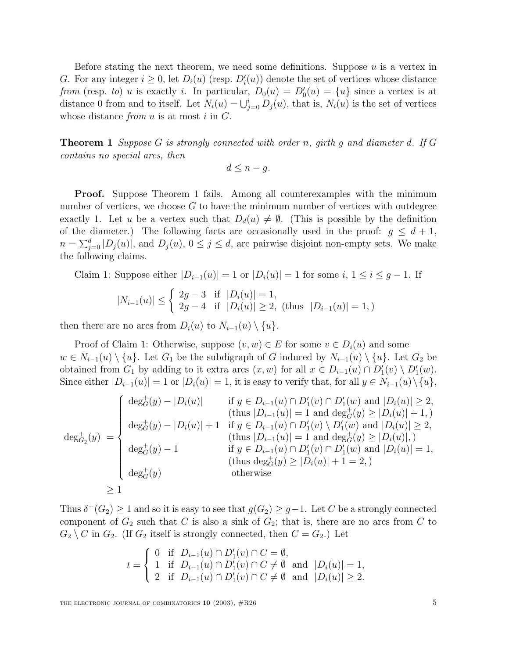Before stating the next theorem, we need some definitions. Suppose  $u$  is a vertex in G. For any integer  $i \geq 0$ , let  $D_i(u)$  (resp.  $D_i'(u)$ ) denote the set of vertices whose distance from (resp. to) u is exactly i. In particular,  $D_0(u) = D'_0(u) = \{u\}$  since a vertex is at distance 0 from and to itself. Let  $N_i(u) = \bigcup_{j=0}^i D_j(u)$ , that is,  $N_i(u)$  is the set of vertices whose distance from  $u$  is at most  $i$  in  $G$ .

**Theorem 1** Suppose G is strongly connected with order n, girth g and diameter d. If G contains no special arcs, then

$$
d \leq n - g.
$$

**Proof.** Suppose Theorem 1 fails. Among all counterexamples with the minimum number of vertices, we choose  $G$  to have the minimum number of vertices with outdegree exactly 1. Let u be a vertex such that  $D_d(u) \neq \emptyset$ . (This is possible by the definition of the diameter.) The following facts are occasionally used in the proof:  $g \leq d+1$ ,  $n = \sum_{j=0}^{d} |D_j(u)|$ , and  $D_j(u)$ ,  $0 \le j \le d$ , are pairwise disjoint non-empty sets. We make the following claims.

Claim 1: Suppose either  $|D_{i-1}(u)| = 1$  or  $|D_i(u)| = 1$  for some  $i, 1 \le i \le g - 1$ . If

$$
|N_{i-1}(u)| \le \begin{cases} 2g-3 & \text{if } |D_i(u)| = 1, \\ 2g-4 & \text{if } |D_i(u)| \ge 2, \text{ (thus } |D_{i-1}(u)| = 1, \text{)} \end{cases}
$$

then there are no arcs from  $D_i(u)$  to  $N_{i-1}(u) \setminus \{u\}.$ 

Proof of Claim 1: Otherwise, suppose  $(v, w) \in E$  for some  $v \in D_i(u)$  and some  $w \in N_{i-1}(u) \setminus \{u\}$ . Let  $G_1$  be the subdigraph of G induced by  $N_{i-1}(u) \setminus \{u\}$ . Let  $G_2$  be obtained from  $G_1$  by adding to it extra arcs  $(x, w)$  for all  $x \in D_{i-1}(u) \cap D'_1(v) \setminus D'_1(w)$ . Since either  $|D_{i-1}(u)| = 1$  or  $|D_i(u)| = 1$ , it is easy to verify that, for all  $y \in N_{i-1}(u) \setminus \{u\}$ ,

$$
\deg_{G_2}^+(y) = \begin{cases}\n\deg_G^+(y) - |D_i(u)| & \text{if } y \in D_{i-1}(u) \cap D'_1(v) \cap D'_1(w) \text{ and } |D_i(u)| \ge 2, \\
\deg_G^+(y) - |D_i(u)| + 1 & \text{if } y \in D_{i-1}(u) \cap D'_1(v) \setminus D'_1(w) \text{ and } |D_i(u)| \ge 2, \\
\deg_{G_2}^+(y) - 1 & \text{if } y \in D_{i-1}(u) \cap D'_1(v) \setminus D'_1(w) \text{ and } |D_i(u)| \ge 2, \\
\deg_G^+(y) - 1 & \text{if } y \in D_{i-1}(u) \cap D'_1(v) \cap D'_1(w) \text{ and } |D_i(u)| = 1, \\
\deg_G^+(y) & \text{otherwise}\n\end{cases}
$$
\n
$$
\ge 1
$$

Thus  $\delta^+(G_2) \geq 1$  and so it is easy to see that  $g(G_2) \geq g-1$ . Let C be a strongly connected component of  $G_2$  such that C is also a sink of  $G_2$ ; that is, there are no arcs from C to  $G_2 \setminus C$  in  $G_2$ . (If  $G_2$  itself is strongly connected, then  $C = G_2$ .) Let

$$
t = \begin{cases} 0 & \text{if } D_{i-1}(u) \cap D'_1(v) \cap C = \emptyset, \\ 1 & \text{if } D_{i-1}(u) \cap D'_1(v) \cap C \neq \emptyset \text{ and } |D_i(u)| = 1, \\ 2 & \text{if } D_{i-1}(u) \cap D'_1(v) \cap C \neq \emptyset \text{ and } |D_i(u)| \geq 2. \end{cases}
$$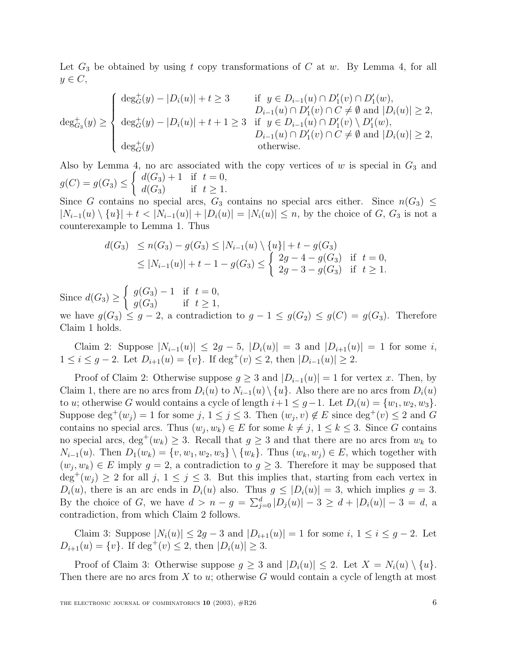Let  $G_3$  be obtained by using t copy transformations of C at w. By Lemma 4, for all  $y \in C$ ,

$$
\deg^+_{G_3}(y) \ge \begin{cases} \deg^+_{G}(y) - |D_i(u)| + t \ge 3 & \text{if } y \in D_{i-1}(u) \cap D'_1(v) \cap D'_1(w), \\ b_{i-1}(u) \cap D'_1(v) \cap C \ne \emptyset \text{ and } |D_i(u)| \ge 2, \\ \deg^+_{G}(y) - |D_i(u)| + t + 1 \ge 3 & \text{if } y \in D_{i-1}(u) \cap D'_1(v) \setminus D'_1(w), \\ b_{i-1}(u) \cap D'_1(v) \cap C \ne \emptyset \text{ and } |D_i(u)| \ge 2, \\ \deg^+_{G}(y) & \text{otherwise.} \end{cases}
$$

Also by Lemma 4, no arc associated with the copy vertices of  $w$  is special in  $G_3$  and  $g(C) = g(G_3) \leq$  $\int d(G_3) + 1$  if  $t = 0$ ,  $d(G_3)$  if  $t \geq 1$ .

Since G contains no special arcs,  $G_3$  contains no special arcs either. Since  $n(G_3) \leq$  $|N_{i-1}(u) \setminus \{u\}| + t < |N_{i-1}(u)| + |D_i(u)| = |N_i(u)| \leq n$ , by the choice of G, G<sub>3</sub> is not a counterexample to Lemma 1. Thus

$$
d(G_3) \le n(G_3) - g(G_3) \le |N_{i-1}(u) \setminus \{u\}| + t - g(G_3)
$$
  
\n
$$
\le |N_{i-1}(u)| + t - 1 - g(G_3) \le \begin{cases} 2g - 4 - g(G_3) & \text{if } t = 0, \\ 2g - 3 - g(G_3) & \text{if } t \ge 1. \end{cases}
$$

Since  $d(G_3) \ge$  $\int g(G_3) - 1$  if  $t = 0$ ,  $g(G_3)$  if  $t \geq 1$ ,

we have  $g(G_3) \leq g-2$ , a contradiction to  $g-1 \leq g(G_2) \leq g(C) = g(G_3)$ . Therefore Claim 1 holds.

Claim 2: Suppose  $|N_{i-1}(u)| \leq 2g - 5$ ,  $|D_i(u)| = 3$  and  $|D_{i+1}(u)| = 1$  for some i, 1 ≤ *i* ≤ *g* − 2. Let  $D_{i+1}(u) = \{v\}$ . If deg<sup>+</sup>(*v*) ≤ 2, then  $|D_{i-1}(u)| \ge 2$ .

Proof of Claim 2: Otherwise suppose  $g \geq 3$  and  $|D_{i-1}(u)| = 1$  for vertex x. Then, by Claim 1, there are no arcs from  $D_i(u)$  to  $N_{i-1}(u) \setminus \{u\}$ . Also there are no arcs from  $D_i(u)$ to u; otherwise G would contains a cycle of length  $i+1 \leq g-1$ . Let  $D_i(u) = \{w_1, w_2, w_3\}$ . Suppose  $\deg^+(w_j) = 1$  for some  $j, 1 \leq j \leq 3$ . Then  $(w_j, v) \notin E$  since  $\deg^+(v) \leq 2$  and G contains no special arcs. Thus  $(w_j, w_k) \in E$  for some  $k \neq j, 1 \leq k \leq 3$ . Since G contains no special arcs, deg<sup>+</sup>( $w_k$ )  $\geq$  3. Recall that  $g \geq$  3 and that there are no arcs from  $w_k$  to  $N_{i-1}(u)$ . Then  $D_1(w_k) = \{v, w_1, w_2, w_3\} \setminus \{w_k\}$ . Thus  $(w_k, w_j) \in E$ , which together with  $(w_j, w_k) \in E$  imply  $g = 2$ , a contradiction to  $g \geq 3$ . Therefore it may be supposed that  $\deg^+(w_j) \geq 2$  for all  $j, 1 \leq j \leq 3$ . But this implies that, starting from each vertex in  $D_i(u)$ , there is an arc ends in  $D_i(u)$  also. Thus  $q \leq |D_i(u)| = 3$ , which implies  $q = 3$ . By the choice of G, we have  $d > n - g = \sum_{j=0}^{d} |D_j(u)| - 3 \ge d + |D_i(u)| - 3 = d$ , a contradiction, from which Claim 2 follows.

Claim 3: Suppose  $|N_i(u)| \leq 2g - 3$  and  $|D_{i+1}(u)| = 1$  for some  $i, 1 \leq i \leq g - 2$ . Let  $D_{i+1}(u) = \{v\}.$  If deg<sup>+</sup>(v)  $\leq 2$ , then  $|D_i(u)| \geq 3$ .

Proof of Claim 3: Otherwise suppose  $g \geq 3$  and  $|D_i(u)| \leq 2$ . Let  $X = N_i(u) \setminus \{u\}$ . Then there are no arcs from X to u; otherwise G would contain a cycle of length at most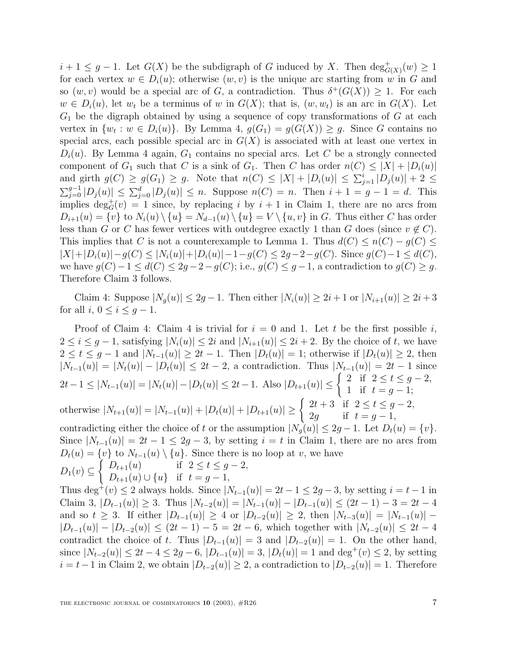$i+1 \leq g-1$ . Let  $G(X)$  be the subdigraph of G induced by X. Then  $\deg^+_{G(X)}(w) \geq 1$ for each vertex  $w \in D_i(u)$ ; otherwise  $(w, v)$  is the unique arc starting from w in G and so  $(w, v)$  would be a special arc of G, a contradiction. Thus  $\delta^+(G(X)) \geq 1$ . For each  $w \in D_i(u)$ , let  $w_t$  be a terminus of w in  $G(X)$ ; that is,  $(w, w_t)$  is an arc in  $G(X)$ . Let  $G_1$  be the digraph obtained by using a sequence of copy transformations of  $G$  at each vertex in  $\{w_t : w \in D_i(u)\}\$ . By Lemma 4,  $g(G_1) = g(G(X)) \geq g$ . Since G contains no special arcs, each possible special arc in  $G(X)$  is associated with at least one vertex in  $D_i(u)$ . By Lemma 4 again,  $G_1$  contains no special arcs. Let C be a strongly connected component of  $G_1$  such that C is a sink of  $G_1$ . Then C has order  $n(C) \leq |X| + |D_i(u)|$ and girth  $g(C) \ge g(G_1) \ge g$ . Note that  $n(C) \le |X| + |D_i(u)| \le \sum_{j=1}^i |D_j(u)| + 2 \le$  $\sum_{j=0}^{g-1} |D_j(u)| \leq \sum_{j=0}^{d} |D_j(u)| \leq n$ . Suppose  $n(C) = n$ . Then  $i + 1 = g - 1 = d$ . This implies  $\deg_G^+(v) = 1$  since, by replacing i by  $i + 1$  in Claim 1, there are no arcs from  $D_{i+1}(u) = \{v\}$  to  $N_i(u) \setminus \{u\} = N_{d-1}(u) \setminus \{u\} = V \setminus \{u, v\}$  in G. Thus either C has order less than G or C has fewer vertices with outdegree exactly 1 than G does (since  $v \notin C$ ). This implies that C is not a counterexample to Lemma 1. Thus  $d(C) \leq n(C) - g(C) \leq$  $|X|+|D_i(u)|-g(C) \leq |N_i(u)|+|D_i(u)|-1-g(C) \leq 2g-2-g(C)$ . Since  $g(C)-1 \leq d(C)$ , we have  $g(C)-1 \leq d(C) \leq 2g-2-g(C)$ ; i.e.,  $g(C) \leq g-1$ , a contradiction to  $g(C) \geq g$ . Therefore Claim 3 follows.

Claim 4: Suppose  $|N_q(u)| \leq 2g - 1$ . Then either  $|N_i(u)| \geq 2i + 1$  or  $|N_{i+1}(u)| \geq 2i + 3$ for all  $i, 0 \leq i \leq g-1$ .

Proof of Claim 4: Claim 4 is trivial for  $i = 0$  and 1. Let t be the first possible i,  $2 \leq i \leq g-1$ , satisfying  $|N_i(u)| \leq 2i$  and  $|N_{i+1}(u)| \leq 2i+2$ . By the choice of t, we have  $2 \le t \le g-1$  and  $|N_{t-1}(u)| \ge 2t-1$ . Then  $|D_t(u)| = 1$ ; otherwise if  $|D_t(u)| \ge 2$ , then  $|N_{t-1}(u)| = |N_t(u)| - |D_t(u)| \le 2t - 2$ , a contradiction. Thus  $|N_{t-1}(u)| = 2t - 1$  since  $2t-1 \leq |N_{t-1}(u)| = |N_t(u)| - |D_t(u)| \leq 2t-1.$  Also  $|D_{t+1}(u)| \leq \begin{cases} 2 & \text{if } 2 \leq t \leq g-2, \\ 1 & \text{if } t = g-1. \end{cases}$ 1 if  $t = g - 1;$ otherwise  $|N_{t+1}(u)| = |N_{t-1}(u)| + |D_t(u)| + |D_{t+1}(u)| \ge \begin{cases} 2t+3 & \text{if } 2 \le t \le g-2, \\ 2a & \text{if } t = g-1 \end{cases}$ 2g if  $t = g - 1$ , contradicting either the choice of t or the assumption  $|N_q(u)| \leq 2g - 1$ . Let  $D_t(u) = \{v\}$ . Since  $|N_{t-1}(u)| = 2t - 1 \leq 2g - 3$ , by setting  $i = t$  in Claim 1, there are no arcs from  $D_{\ell}(u) = \{v\}$  to  $N_{\ell-1}(u) \setminus \{u\}$ . Since there is no loop at v, we have

$$
D_t(u) = \begin{cases} D_{t+1}(u) & \text{if } 2 \le t \le g-2, \\ D_{t+1}(u) & \text{if } 2 \le t \le g-2, \\ D_{t+1}(u) \cup \{u\} & \text{if } t=g-1, \end{cases}
$$

Thus deg<sup>+</sup>(v) ≤ 2 always holds. Since  $|N_{t-1}(u)| = 2t - 1 \le 2g - 3$ , by setting  $i = t - 1$  in Claim 3,  $|D_{t-1}(u)| \geq 3$ . Thus  $|N_{t-2}(u)| = |N_{t-1}(u)| - |D_{t-1}(u)| \leq (2t-1) - 3 = 2t - 4$ and so  $t \geq 3$ . If either  $|D_{t-1}(u)| \geq 4$  or  $|D_{t-2}(u)| \geq 2$ , then  $|N_{t-3}(u)| = |N_{t-1}(u)| |D_{t-1}(u)|-|D_{t-2}(u)| \leq (2t-1)-5=2t-6$ , which together with  $|N_{t-2}(u)| \leq 2t-4$ contradict the choice of t. Thus  $|D_{t-1}(u)| = 3$  and  $|D_{t-2}(u)| = 1$ . On the other hand, since  $|N_{t-2}(u)| \leq 2t - 4 \leq 2g - 6$ ,  $|D_{t-1}(u)| = 3$ ,  $|D_t(u)| = 1$  and  $\deg^+(v) \leq 2$ , by setting  $i = t-1$  in Claim 2, we obtain  $|D_{t-2}(u)| \geq 2$ , a contradiction to  $|D_{t-2}(u)| = 1$ . Therefore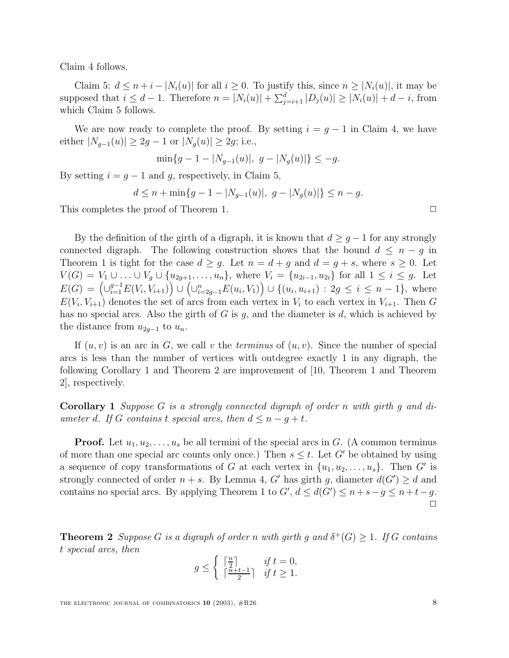Claim 4 follows.

Claim 5:  $d \leq n + i - |N_i(u)|$  for all  $i \geq 0$ . To justify this, since  $n \geq |N_i(u)|$ , it may be supposed that  $i \leq d-1$ . Therefore  $n = |N_i(u)| + \sum_{j=i+1}^d |D_j(u)| \geq |N_i(u)| + d - i$ , from which Claim 5 follows.

We are now ready to complete the proof. By setting  $i = g - 1$  in Claim 4, we have either  $|N_{g-1}(u)| \geq 2g - 1$  or  $|N_g(u)| \geq 2g$ ; i.e.,

$$
\min\{g-1-|N_{g-1}(u)|, g-|N_g(u)|\}\leq -g.
$$

By setting  $i = q - 1$  and g, respectively, in Claim 5,

$$
d \le n + \min\{g - 1 - |N_{g-1}(u)|, g - |N_g(u)|\} \le n - g.
$$

This completes the proof of Theorem 1.  $\Box$ 

By the definition of the girth of a digraph, it is known that  $d \geq g-1$  for any strongly connected digraph. The following construction shows that the bound  $d \leq n - g$  in Theorem 1 is tight for the case  $d \geq g$ . Let  $n = d + g$  and  $d = g + s$ , where  $s \geq 0$ . Let  $V(G) = V_1 \cup \ldots \cup V_g \cup \{u_{2g+1},\ldots,u_n\},\$  where  $V_i = \{u_{2i-1}, u_{2i}\}\$  for all  $1 \leq i \leq g$ . Let  $E(G) = (\bigcup_{i=1}^{g-1} E(V_i, V_{i+1})\big) \cup (\bigcup_{i=2g-1}^{n} E(u_i, V_1)\big) \cup \{(u_i, u_{i+1}) : 2g \le i \le n-1\},\$  where  $E(V_i, V_{i+1})$  denotes the set of arcs from each vertex in  $V_i$  to each vertex in  $V_{i+1}$ . Then G has no special arcs. Also the girth of G is  $g$ , and the diameter is  $d$ , which is achieved by the distance from  $u_{2q-1}$  to  $u_n$ .

If  $(u, v)$  is an arc in G, we call v the *terminus* of  $(u, v)$ . Since the number of special arcs is less than the number of vertices with outdegree exactly 1 in any digraph, the following Corollary 1 and Theorem 2 are improvement of [10, Theorem 1 and Theorem 2], respectively.

**Corollary 1** Suppose G is a strongly connected digraph of order n with girth g and diameter d. If G contains t special arcs, then  $d \leq n - g + t$ .

**Proof.** Let  $u_1, u_2, \ldots, u_s$  be all termini of the special arcs in G. (A common terminus of more than one special arc counts only once.) Then  $s \leq t$ . Let G' be obtained by using a sequence of copy transformations of G at each vertex in  $\{u_1, u_2, \ldots, u_s\}$ . Then G' is strongly connected of order  $n + s$ . By Lemma 4, G' has girth g, diameter  $d(G') \geq d$  and contains no special arcs. By applying Theorem 1 to  $G'$ ,  $d \leq d(G') \leq n+s-g \leq n+t-g$ .  $\Box$ 

**Theorem 2** Suppose G is a digraph of order n with girth g and  $\delta^+(G) \geq 1$ . If G contains t special arcs, then

$$
g \le \begin{cases} \lceil \frac{n}{2} \rceil & \text{if } t = 0, \\ \lceil \frac{n+t-1}{2} \rceil & \text{if } t \ge 1. \end{cases}
$$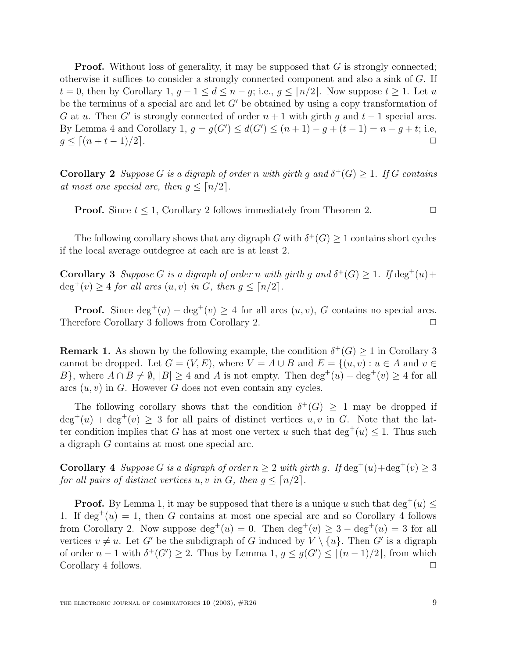**Proof.** Without loss of generality, it may be supposed that G is strongly connected; otherwise it suffices to consider a strongly connected component and also a sink of G. If  $t = 0$ , then by Corollary 1,  $q - 1 \leq d \leq n - q$ ; i.e.,  $q \leq \lceil n/2 \rceil$ . Now suppose  $t \geq 1$ . Let u be the terminus of a special arc and let  $G'$  be obtained by using a copy transformation of G at u. Then G' is strongly connected of order  $n + 1$  with girth g and  $t - 1$  special arcs. By Lemma 4 and Corollary 1,  $g = g(G') \le d(G') \le (n + 1) - g + (t - 1) = n - g + t$ ; i.e,  $g \le [(n + t - 1)/2]$ .

**Corollary 2** Suppose G is a digraph of order n with girth q and  $\delta^+(G) > 1$ . If G contains at most one special arc, then  $q \leq \lceil n/2 \rceil$ .

**Proof.** Since  $t \leq 1$ , Corollary 2 follows immediately from Theorem 2.

The following corollary shows that any digraph G with  $\delta^+(G) \geq 1$  contains short cycles if the local average outdegree at each arc is at least 2.

**Corollary 3** Suppose G is a digraph of order n with girth g and  $\delta^+(G) \geq 1$ . If  $\deg^+(u)$ +  $\deg^+(v) \geq 4$  for all arcs  $(u, v)$  in G, then  $g \leq \lceil n/2 \rceil$ .

**Proof.** Since  $\deg^+(u) + \deg^+(v) \geq 4$  for all arcs  $(u, v)$ , G contains no special arcs. Therefore Corollary 3 follows from Corollary 2.

**Remark 1.** As shown by the following example, the condition  $\delta^+(G) \geq 1$  in Corollary 3 cannot be dropped. Let  $G = (V, E)$ , where  $V = A \cup B$  and  $E = \{(u, v) : u \in A \text{ and } v \in E\}$ B, where  $A \cap B \neq \emptyset$ ,  $|B| \geq 4$  and A is not empty. Then  $\deg^+(u) + \deg^+(v) \geq 4$  for all arcs  $(u, v)$  in G. However G does not even contain any cycles.

The following corollary shows that the condition  $\delta^+(G) \geq 1$  may be dropped if  $\deg^+(u) + \deg^+(v) \geq 3$  for all pairs of distinct vertices  $u, v$  in G. Note that the latter condition implies that G has at most one vertex u such that  $\deg^+(u) \leq 1$ . Thus such a digraph G contains at most one special arc.

**Corollary 4** Suppose G is a digraph of order  $n \geq 2$  with girth g. If  $\deg^+(u) + \deg^+(v) \geq 3$ for all pairs of distinct vertices u, v in G, then  $g \leq \lceil n/2 \rceil$ .

**Proof.** By Lemma 1, it may be supposed that there is a unique u such that  $\deg^+(u)$ 1. If  $\deg^+(u) = 1$ , then G contains at most one special arc and so Corollary 4 follows from Corollary 2. Now suppose  $\deg^+(u) = 0$ . Then  $\deg^+(v) \geq 3 - \deg^+(u) = 3$  for all vertices  $v \neq u$ . Let G' be the subdigraph of G induced by  $V \setminus \{u\}$ . Then G' is a digraph of order  $n-1$  with  $\delta^+(G') \geq 2$ . Thus by Lemma 1,  $g \leq g(G') \leq \lceil (n-1)/2 \rceil$ , from which Corollary 4 follows.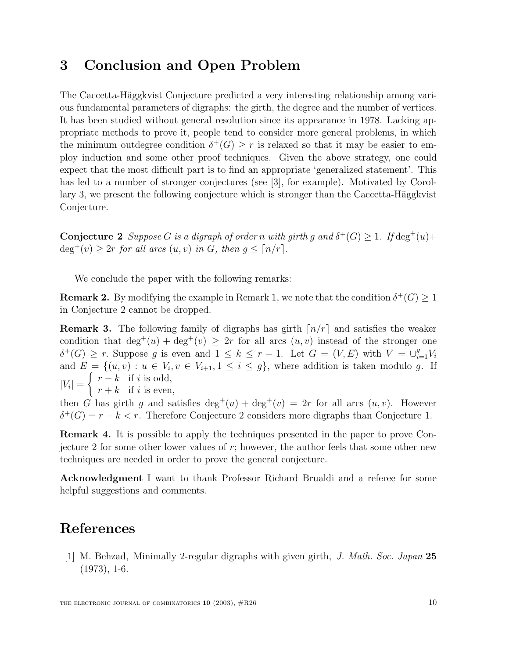# **3 Conclusion and Open Problem**

The Caccetta-Häggkvist Conjecture predicted a very interesting relationship among various fundamental parameters of digraphs: the girth, the degree and the number of vertices. It has been studied without general resolution since its appearance in 1978. Lacking appropriate methods to prove it, people tend to consider more general problems, in which the minimum outdegree condition  $\delta^+(G) \geq r$  is relaxed so that it may be easier to employ induction and some other proof techniques. Given the above strategy, one could expect that the most difficult part is to find an appropriate 'generalized statement'. This has led to a number of stronger conjectures (see [3], for example). Motivated by Corollary 3, we present the following conjecture which is stronger than the Caccetta-Häggkvist Conjecture.

**Conjecture 2** Suppose G is a digraph of order n with girth g and  $\delta^+(G) \geq 1$ . If  $\deg^+(u)$ +  $\deg^+(v) \geq 2r$  for all arcs  $(u, v)$  in G, then  $g \leq \lceil n/r \rceil$ .

We conclude the paper with the following remarks:

**Remark 2.** By modifying the example in Remark 1, we note that the condition  $\delta^+(G) \geq 1$ in Conjecture 2 cannot be dropped.

**Remark 3.** The following family of digraphs has girth  $\lfloor n/r \rfloor$  and satisfies the weaker condition that  $\deg^+(u) + \deg^+(v) \geq 2r$  for all arcs  $(u, v)$  instead of the stronger one  $\delta^+(G) \geq r$ . Suppose g is even and  $1 \leq k \leq r-1$ . Let  $G = (V, E)$  with  $V = \bigcup_{i=1}^g V_i$ and  $E = \{(u, v) : u \in V_i, v \in V_{i+1}, 1 \leq i \leq g\}$ , where addition is taken modulo g. If  $|V_i| =$  $\int r - k$  if i is odd,  $r + k$  if i is even,

then G has girth g and satisfies  $\deg^+(u) + \deg^+(v) = 2r$  for all arcs  $(u, v)$ . However  $\delta^+(G) = r - k < r$ . Therefore Conjecture 2 considers more digraphs than Conjecture 1.

**Remark 4.** It is possible to apply the techniques presented in the paper to prove Conjecture 2 for some other lower values of  $r$ ; however, the author feels that some other new techniques are needed in order to prove the general conjecture.

**Acknowledgment** I want to thank Professor Richard Brualdi and a referee for some helpful suggestions and comments.

## **References**

[1] M. Behzad, Minimally 2-regular digraphs with given girth, J. Math. Soc. Japan **25**  $(1973), 1-6.$